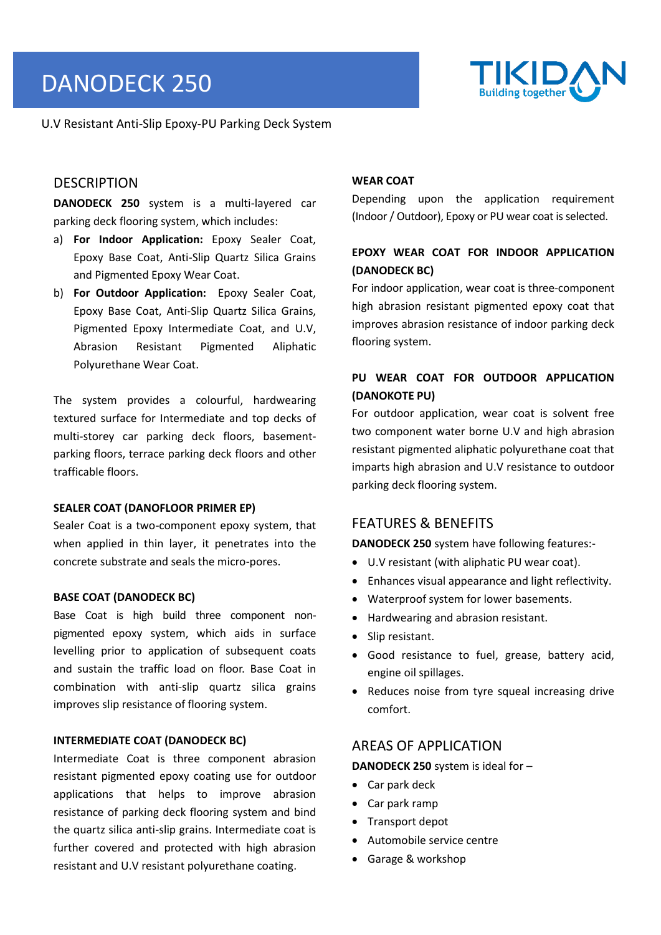# DANODECK 250



U.V Resistant Anti-Slip Epoxy-PU Parking Deck System

# **DESCRIPTION**

**DANODECK 250** system is a multi-layered car parking deck flooring system, which includes:

- a) **For Indoor Application:** Epoxy Sealer Coat, Epoxy Base Coat, Anti-Slip Quartz Silica Grains and Pigmented Epoxy Wear Coat.
- b) **For Outdoor Application:** Epoxy Sealer Coat, Epoxy Base Coat, Anti-Slip Quartz Silica Grains, Pigmented Epoxy Intermediate Coat, and U.V, Abrasion Resistant Pigmented Aliphatic Polyurethane Wear Coat.

The system provides a colourful, hardwearing textured surface for Intermediate and top decks of multi-storey car parking deck floors, basementparking floors, terrace parking deck floors and other trafficable floors.

#### **SEALER COAT (DANOFLOOR PRIMER EP)**

Sealer Coat is a two-component epoxy system, that when applied in thin layer, it penetrates into the concrete substrate and seals the micro-pores.

### **BASE COAT (DANODECK BC)**

Base Coat is high build three component nonpigmented epoxy system, which aids in surface levelling prior to application of subsequent coats and sustain the traffic load on floor. Base Coat in combination with anti-slip quartz silica grains improves slip resistance of flooring system.

#### **INTERMEDIATE COAT (DANODECK BC)**

Intermediate Coat is three component abrasion resistant pigmented epoxy coating use for outdoor applications that helps to improve abrasion resistance of parking deck flooring system and bind the quartz silica anti-slip grains. Intermediate coat is further covered and protected with high abrasion resistant and U.V resistant polyurethane coating.

#### **WEAR COAT**

Depending upon the application requirement (Indoor/ Outdoor), Epoxy or PU wear coat is selected.

# **EPOXY WEAR COAT FOR INDOOR APPLICATION (DANODECK BC)**

For indoor application, wear coat is three-component high abrasion resistant pigmented epoxy coat that improves abrasion resistance of indoor parking deck flooring system.

# **PU WEAR COAT FOR OUTDOOR APPLICATION (DANOKOTE PU)**

For outdoor application, wear coat is solvent free two component water borne U.V and high abrasion resistant pigmented aliphatic polyurethane coat that imparts high abrasion and U.V resistance to outdoor parking deck flooring system.

## FEATURES & BENEFITS

**DANODECK 250** system have following features:-

- U.V resistant (with aliphatic PU wear coat).
- Enhances visual appearance and light reflectivity.
- Waterproof system for lower basements.
- Hardwearing and abrasion resistant.
- Slip resistant.
- Good resistance to fuel, grease, battery acid, engine oil spillages.
- Reduces noise from tyre squeal increasing drive comfort.

# AREAS OF APPLICATION

**DANODECK 250** system is ideal for –

- Car park deck
- Car park ramp
- Transport depot
- Automobile service centre
- Garage & workshop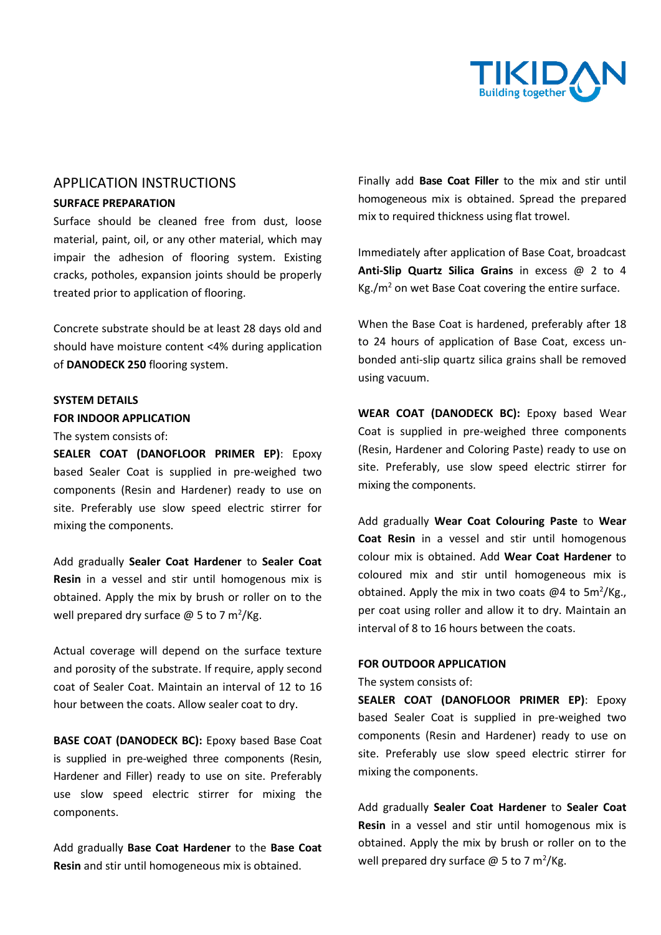

# APPLICATION INSTRUCTIONS

## **SURFACE PREPARATION**

Surface should be cleaned free from dust, loose material, paint, oil, or any other material, which may impair the adhesion of flooring system. Existing cracks, potholes, expansion joints should be properly treated prior to application of flooring.

Concrete substrate should be at least 28 days old and should have moisture content <4% during application of **DANODECK 250** flooring system.

## **SYSTEM DETAILS FOR INDOOR APPLICATION**

#### The system consists of:

**SEALER COAT (DANOFLOOR PRIMER EP)**: Epoxy based Sealer Coat is supplied in pre-weighed two components (Resin and Hardener) ready to use on site. Preferably use slow speed electric stirrer for mixing the components.

Add gradually **Sealer Coat Hardener** to **Sealer Coat Resin** in a vessel and stir until homogenous mix is obtained. Apply the mix by brush or roller on to the well prepared dry surface  $\omega$  5 to 7 m<sup>2</sup>/Kg.

Actual coverage will depend on the surface texture and porosity of the substrate. If require, apply second coat of Sealer Coat. Maintain an interval of 12 to 16 hour between the coats. Allow sealer coat to dry.

**BASE COAT (DANODECK BC):** Epoxy based Base Coat is supplied in pre-weighed three components (Resin, Hardener and Filler) ready to use on site. Preferably use slow speed electric stirrer for mixing the components.

Add gradually **Base Coat Hardener** to the **Base Coat Resin** and stir until homogeneous mix is obtained.

Finally add **Base Coat Filler** to the mix and stir until homogeneous mix is obtained. Spread the prepared mix to required thickness using flat trowel.

Immediately after application of Base Coat, broadcast **Anti-Slip Quartz Silica Grains** in excess @ 2 to 4  $Kg/m^2$  on wet Base Coat covering the entire surface.

When the Base Coat is hardened, preferably after 18 to 24 hours of application of Base Coat, excess unbonded anti-slip quartz silica grains shall be removed using vacuum.

**WEAR COAT (DANODECK BC):** Epoxy based Wear Coat is supplied in pre-weighed three components (Resin, Hardener and Coloring Paste) ready to use on site. Preferably, use slow speed electric stirrer for mixing the components.

Add gradually **Wear Coat Colouring Paste** to **Wear Coat Resin** in a vessel and stir until homogenous colour mix is obtained. Add **Wear Coat Hardener** to coloured mix and stir until homogeneous mix is obtained. Apply the mix in two coats @4 to  $5m^2/Kg$ . per coat using roller and allow it to dry. Maintain an interval of 8 to 16 hours between the coats.

#### **FOR OUTDOOR APPLICATION**

The system consists of:

**SEALER COAT (DANOFLOOR PRIMER EP)**: Epoxy based Sealer Coat is supplied in pre-weighed two components (Resin and Hardener) ready to use on site. Preferably use slow speed electric stirrer for mixing the components.

Add gradually **Sealer Coat Hardener** to **Sealer Coat Resin** in a vessel and stir until homogenous mix is obtained. Apply the mix by brush or roller on to the well prepared dry surface  $\omega$  5 to 7 m<sup>2</sup>/Kg.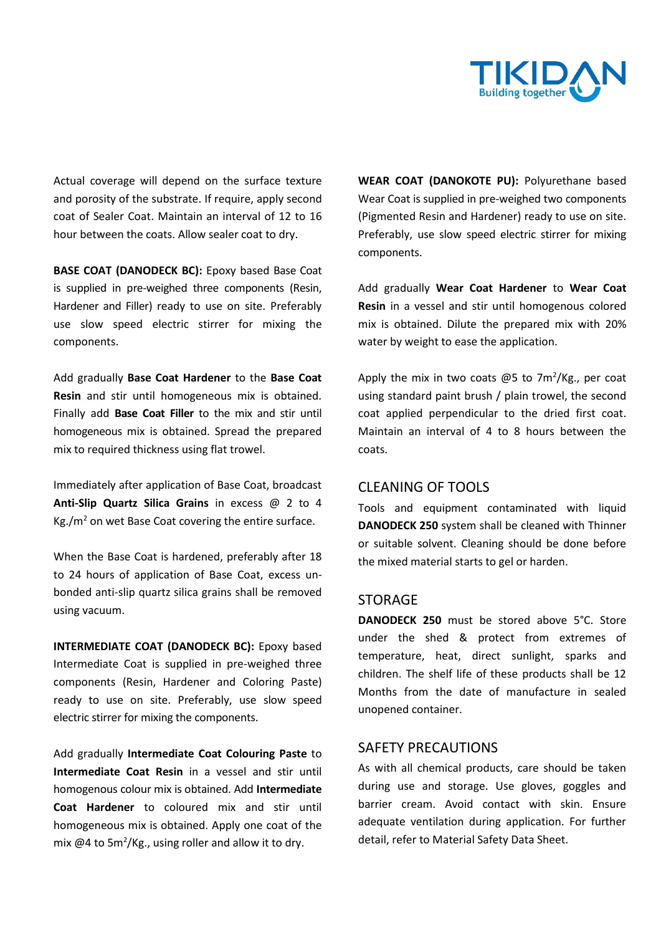

Actual coverage will depend on the surface texture and porosity of the substrate. If require, apply second coat of Sealer Coat. Maintain an interval of 12 to 16 hour between the coats. Allow sealer coat to dry.

**BASE COAT (DANODECK BC):** Epoxy based Base Coat is supplied in pre-weighed three components (Resin, Hardener and Filler) ready to use on site. Preferably use slow speed electric stirrer for mixing the components.

Add gradually **Base Coat Hardener** to the **Base Coat Resin** and stir until homogeneous mix is obtained. Finally add **Base Coat Filler** to the mix and stir until homogeneous mix is obtained. Spread the prepared mix to required thickness using flat trowel.

Immediately after application of Base Coat, broadcast **Anti-Slip Quartz Silica Grains** in excess @ 2 to 4  $Kg/m^2$  on wet Base Coat covering the entire surface.

When the Base Coat is hardened, preferably after 18 to 24 hours of application of Base Coat, excess unbonded anti-slip quartz silica grains shall be removed using vacuum.

**INTERMEDIATE COAT (DANODECK BC):** Epoxy based Intermediate Coat is supplied in pre-weighed three components (Resin, Hardener and Coloring Paste) ready to use on site. Preferably, use slow speed electric stirrer for mixing the components.

Add gradually **Intermediate Coat Colouring Paste** to **Intermediate Coat Resin** in a vessel and stir until homogenous colour mix is obtained. Add **Intermediate Coat Hardener** to coloured mix and stir until homogeneous mix is obtained. Apply one coat of the mix  $@4$  to 5m<sup>2</sup>/Kg., using roller and allow it to dry.

**WEAR COAT (DANOKOTE PU):** Polyurethane based Wear Coat is supplied in pre-weighed two components (Pigmented Resin and Hardener) ready to use on site. Preferably, use slow speed electric stirrer for mixing components.

Add gradually **Wear Coat Hardener** to **Wear Coat Resin** in a vessel and stir until homogenous colored mix is obtained. Dilute the prepared mix with 20% water by weight to ease the application.

Apply the mix in two coats  $@5$  to 7m<sup>2</sup>/Kg., per coat using standard paint brush / plain trowel, the second coat applied perpendicular to the dried first coat. Maintain an interval of 4 to 8 hours between the coats.

## CLEANING OF TOOLS

Tools and equipment contaminated with liquid **DANODECK 250** system shall be cleaned with Thinner or suitable solvent. Cleaning should be done before the mixed material starts to gel or harden.

## STORAGE

**DANODECK 250** must be stored above 5°C. Store under the shed & protect from extremes of temperature, heat, direct sunlight, sparks and children. The shelf life of these products shall be 12 Months from the date of manufacture in sealed unopened container.

# SAFETY PRECAUTIONS

As with all chemical products, care should be taken during use and storage. Use gloves, goggles and barrier cream. Avoid contact with skin. Ensure adequate ventilation during application. For further detail, refer to Material Safety Data Sheet.